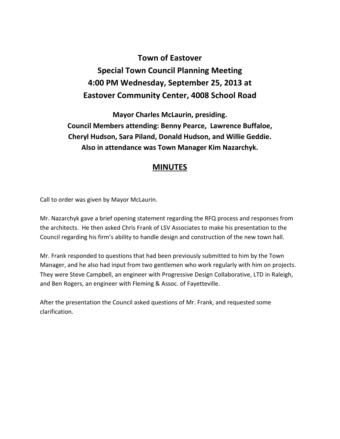## **Town of Eastover Special Town Council Planning Meeting 4:00 PM Wednesday, September 25, 2013 at Eastover Community Center, 4008 School Road**

**Mayor Charles McLaurin, presiding. Council Members attending: Benny Pearce, Lawrence Buffaloe, Cheryl Hudson, Sara Piland, Donald Hudson, and Willie Geddie. Also in attendance was Town Manager Kim Nazarchyk.** 

## **MINUTES**

Call to order was given by Mayor McLaurin.

Mr. Nazarchyk gave a brief opening statement regarding the RFQ process and responses from the architects. He then asked Chris Frank of LSV Associates to make his presentation to the Council regarding his firm's ability to handle design and construction of the new town hall.

Mr. Frank responded to questions that had been previously submitted to him by the Town Manager, and he also had input from two gentlemen who work regularly with him on projects. They were Steve Campbell, an engineer with Progressive Design Collaborative, LTD in Raleigh, and Ben Rogers, an engineer with Fleming & Assoc. of Fayetteville.

After the presentation the Council asked questions of Mr. Frank, and requested some clarification.